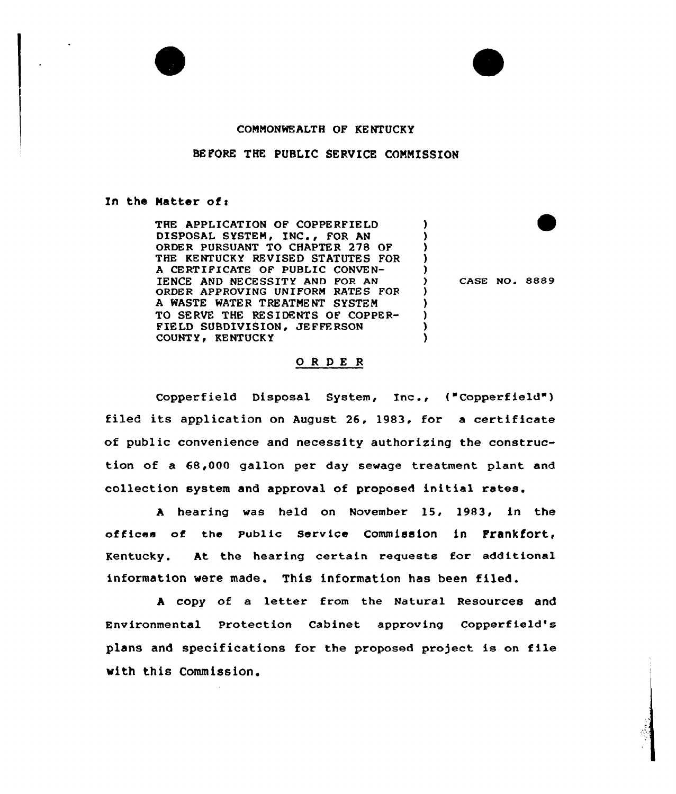

## COMMONWEALTH OF KENTUCKY

#### BEFORE THE PUBLIC SERVICE COMMISSION

#### In the Matter of:

THE APPLICATION OF COPPERFIELD DISPOSAL SYSTEM, INC., FOR AN ORDER PURSUANT TO CHAPTER 278 OF THE KENTUCKY REVISED STATUTES FOR A CERTIFICATE OF PUBLIC CONVEN-IENCE AND NECESSITY AND FOR AN ORDER APPROVING UNIFORM RATES FOR A WASTE WATER TREATMENT SYSTEM TO SERVE THE RESIDENTS OF COPPER-<sup>F</sup>IELD SUBDIVISION, JEFFE RSON COUNTY, KENTUCKY

) CASE NO. 8889

) ) ) ) )

) ) ) ) )

## ORDER

Copperfield Disposal System, Inc., ("Copperfield" ) filed its application on August 26, 1983, for <sup>a</sup> certificate of public convenience and necessity authorizing the construction of a 68,000 gallon per day sewage treatment plant and collection system and approval of proposed initial rates.

<sup>A</sup> hearing was held on November 15, 1983, in the offices of the Public Service Commission in Frankfort, Kentucky. At the hearing certain requests for additional information were made. This information has been filed.

<sup>A</sup> copy of a letter from the Natural Resources and Environmental Protection Cabinet approving Copperfield's plans and specifications for the proposed project is on file with this Commission.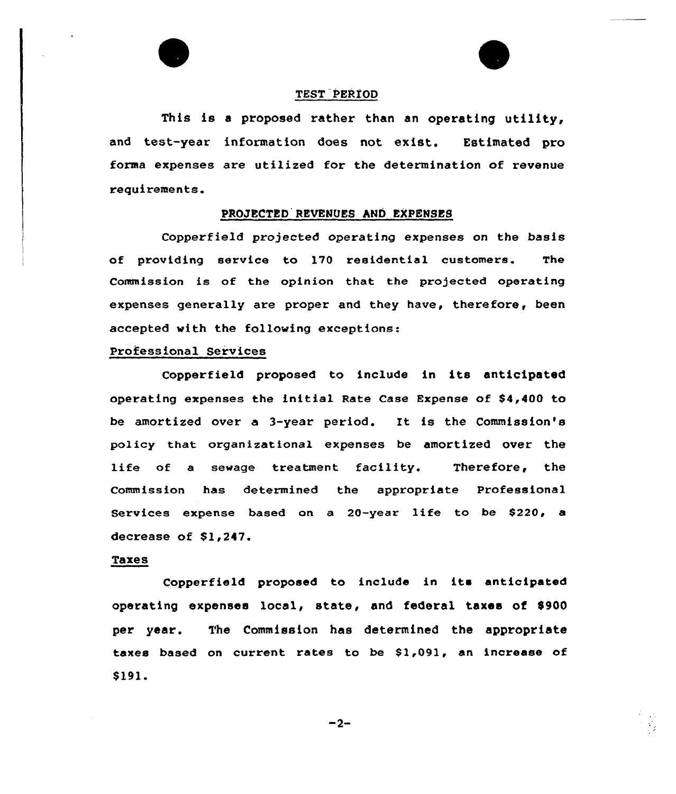

## TEST PERXOD

This is <sup>a</sup> proposed rather than an operating utility, and test-year information does not exist. Estimated pro forma expenses are utilized for the determination of revenue requirements.

#### PROJECTED REVENUES AND EXPENSES

Copperfield projected operating expenses on the basis of providing service to 170 residential customers. The Commission is of the opinion that the projected operating expenses generally are proper and they have, therefore, been accepted with the fallowing exceptions:

# Professional Services

Copperfield proposed to include in its anticipated operating expenses the initial Rate Case Expense of \$4,400 to be amortized over a 3-year period. Et is the Commission's policy that organizational expenses be amortized over the life of a sewage treatment facility. Therefore, the Commission has determined the appropriate Professional Services expense based on a 20-year life to be \$220, a decrease of  $$1,247.$ 

#### Taxes

Copperfield proposed to include in its anticipated operating expenses local, state, and federal taxes of  $$900$ per year. The Commission has determined the appropriate taxes based on current rates to be 81,091, an increase of \$ 191.

 $-2-$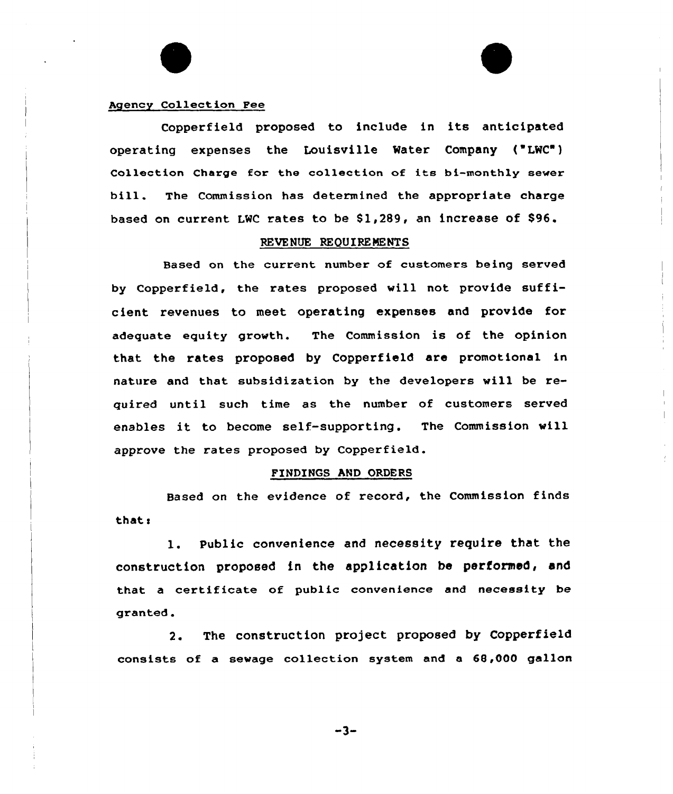#### Agency Collect ion Fee

Copperfield proposed to include in its anticipated operating expenses the Louisville Water Company ("LWC") Collection Charge for the collection of its bi-monthly sewer bill. The Commission has determined the appropriate charge based on current LMC rates to be 81,289, an increase of S96.

#### REVENUE REQUIREMENTS

Based on the current number of customers being served by Copperfield, the rates proposed will not provide sufficient revenues to meet operating expenses and provide for adequate equity growth. The Commission is of the opinion that the rates proposed by Copperfield are promotional in nature and that. subsidization by the developers will be required until such time as the number of customers served enables it to become self-supporting. The Commission will approve the rates proposed by Copperfield.

#### FINDINGS AND ORDERS

Based on the evidence of record, the Commission finds that:

1. public convenience and necessity require that the construction proposed in the application be performed, and that a certificate of public convenience and necessity be granted.

2. The construction project proposed by Copperfield consists of a sewage collection system and a 68,000 gallon

 $-3-$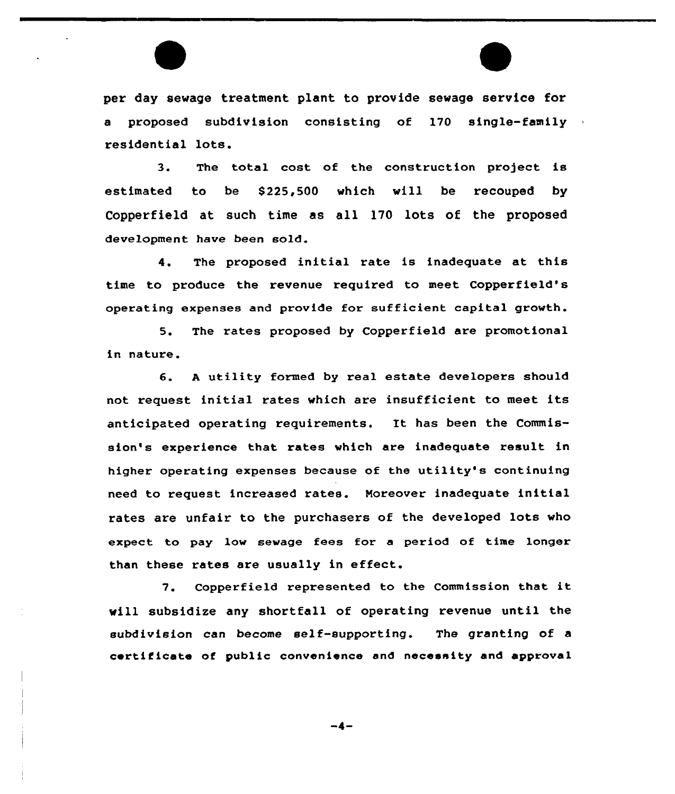per day sewage treatment plant to provide sewage service for a proposed subdivision consisting of 170 single-family residential lots.

3. The total cost of the construction project is estimated to be \$225,500 which will be recouped by Copperfield at such time as all 170 lots of the proposed development have been sold.

4. The proposed initial rate is inadequate at this time to produce the revenue required to meet Copperfield's operating expenses and provide for sufficient capital growth.

5. The rates proposed by Copperfield are promotional in nature.

6. <sup>A</sup> utility formed by real estate developers should not request initial rates which are insufficient to meet its anticipated operating requirements. It has been the Commission's experience that rates which are inadequate result in higher operating expenses because of the utility's continuing need to request increased rates. Moreover inadequate initial rates are unfair to the purchasers of the developed lots who expect to pay low sewage fees for a period of time longer than these rates are usually in effect.

7. Copperfield represented to the Commission that it vill subsidize any shortfall of operating revenue until the subdivision can become self-supporting. The granting of a certificate of public convenience and necessity and approval

 $-4-$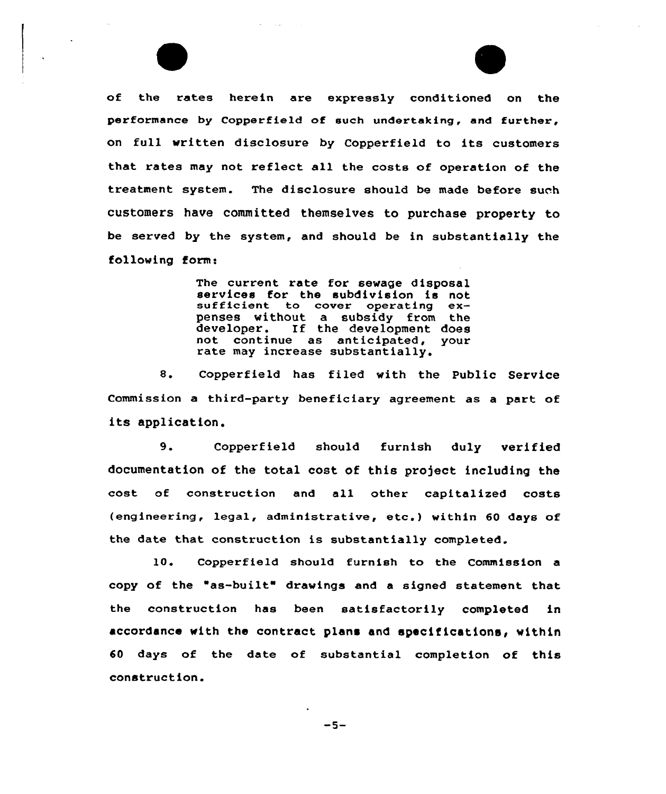

The current rate for sewage disposal<br>services for the subdivision is not<br>sufficient to cover operating expenses without a subsidy from the developer. If the development does not continue as anticipated, your rate may increase substantially.

8. Copperfield has filed with the Public Service Commission a third-party beneficiary agreement as a part of its application.

9. Copperfield should furnish duly verified documentation of the total cost of this project including the cost of construction and all other capitalized costs (engineering, legal, administrative, etc.} within <sup>60</sup> days of the date that construction is substantially completed.

10. Copperfield should furnish to the Commission a copy of the "as-built" drawings and <sup>a</sup> signed statement that the construction has been satisfactorily completed in accordance with the contract plans and specifications, within 60 days of the date of substantial completion of this construction.

 $-5-$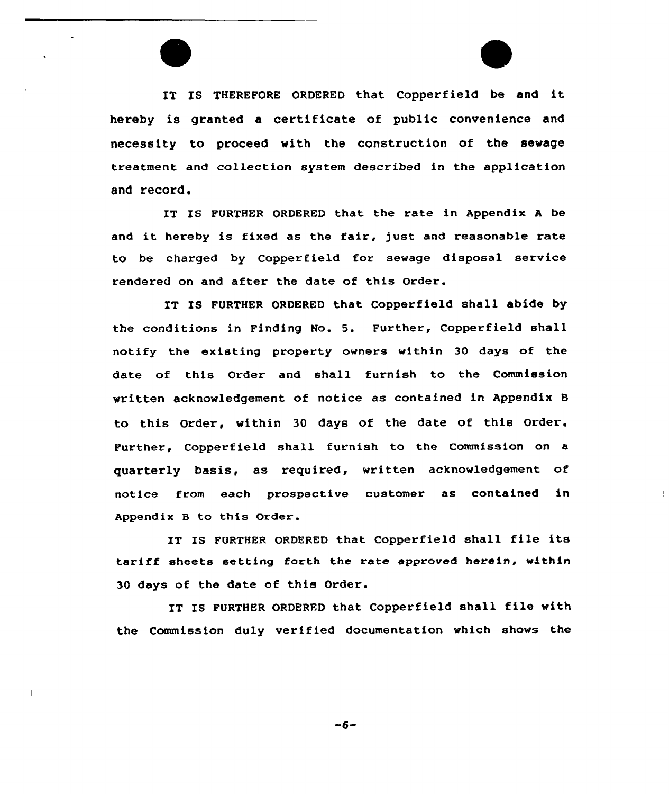IT IS THEREFORE ORDERED that Copperfield be and it hereby is granted a certificate of public convenience and necessity to proceed with the construction of the sewage treatment and collection system described in the application and record.

IT IS FURTHER ORDERED that the rate in Appendix <sup>A</sup> be and it hereby is fixed as the fair, just and reasonable rate to be charged by Copperfield for sewage disposal service rendered on and after the date of this Order.

IT IS FURTHER ORDERED that Copperfield shall abide by the conditions in Finding No. 5. Further, Copperfield shall notify the existing property owners within 30 days of the date of this Order and shall furnish to the Commission written acknowledgement of notice as contained in Appendix B to this Order, within 30 days of the date of this Order. Further, Copperfield shall furnish to the Commission on a quarterly basis, as required, written acknowledgement of notice from each prospective customer as contained in Appendix B to this Order.

IT IS FURTHER ORDERED that Copperfield shall file its tariff sheets setting forth the rate approved herein, within 30 days of the date of this Order.

IT IS FURTHER ORDERED that Copperfield shall file with the Commission duly verified documentation which shows the

 $-6-$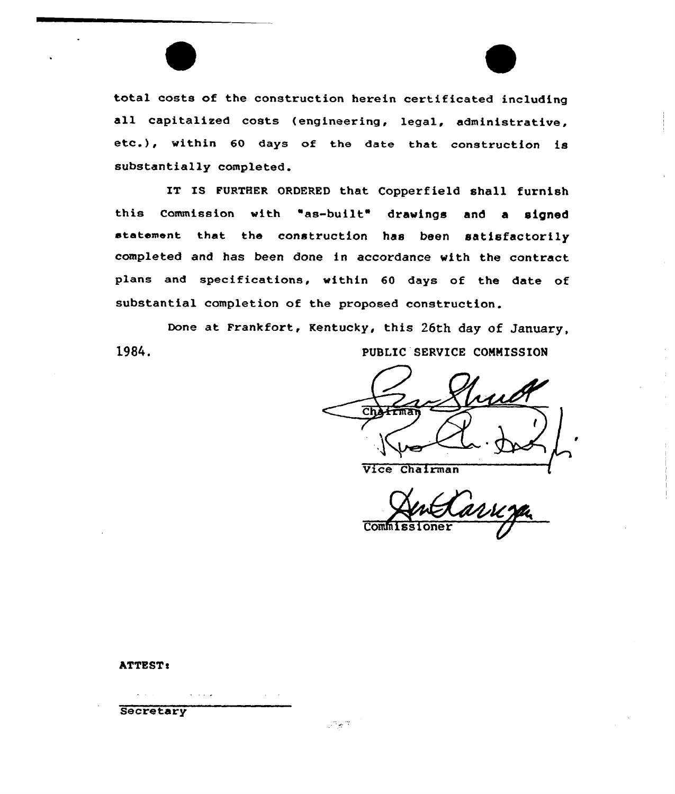total costs of the construction herein certificated including all capitalized costs (engineering, legal, administrative, etc.), within <sup>60</sup> days of the date that construction is substantially completed.

IT IS FURTHER ORDERED that Copperfield shall furnish this Commission with "as-built" drawings and <sup>a</sup> signed statement that the construction has been satisfactorily completed and has been done in accordance with the contract plans and specifications, within 60 days of the date of substantial completion of the proposed construction.

Done at Frankfort, Kentucky, this 26th day of January, 1984. PUBLIC SERVICE COMMISSION

ਨਾ

Vice Chairman

Commiss

# ATTEST:

**Secretary** 

 $\omega$  ,  $\omega$  ,  $\omega$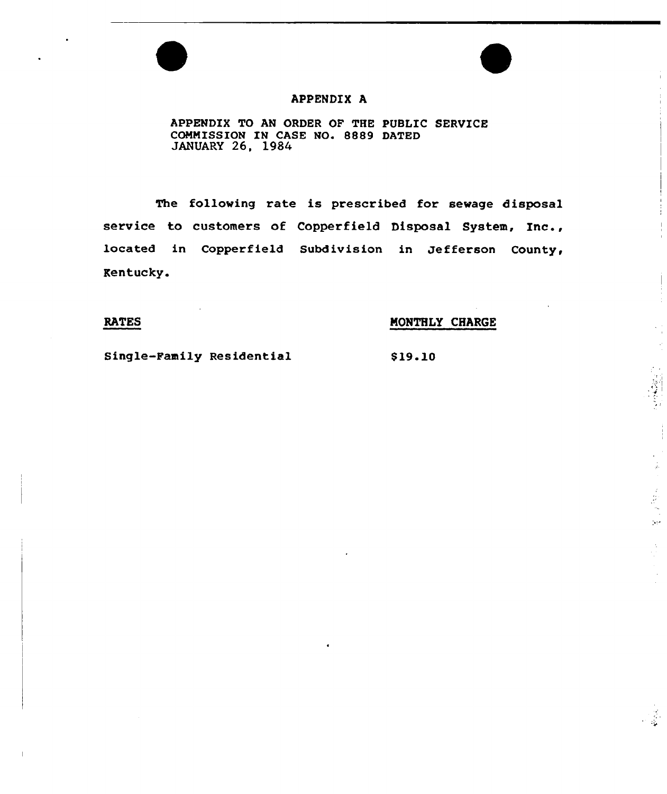# APPENDIX A

APPENDIX TO AN ORDER OF THE PUBLIC SERUICE COMMISSION IN CASE NO. 8889 DATED JANUARY 26, 1984

The following rate is prescribed for sewage disposal service to customers of Copperfield Disposal System, Inc., located in Copperfield Subdivision in Jefferson County, Kentucky.

# RATES MONTHLY CHARGE

Single-Family Residential \$19.10